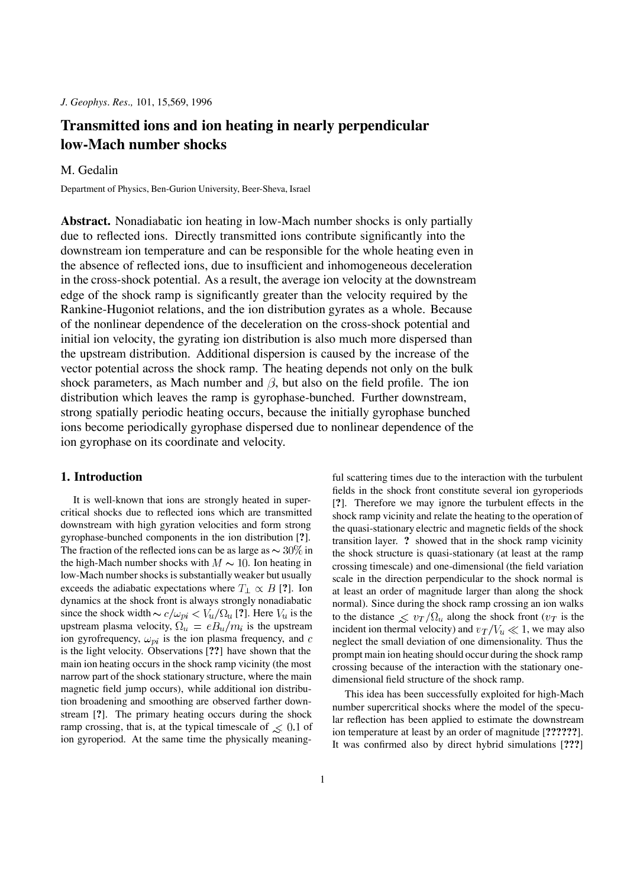*J. Geophys. Res.,* 101, 15,569, 1996

# **Transmitted ions and ion heating in nearly perpendicular low-Mach number shocks**

## M. Gedalin

Department of Physics, Ben-Gurion University, Beer-Sheva, Israel

**Abstract.** Nonadiabatic ion heating in low-Mach number shocks is only partially due to reflected ions. Directly transmitted ions contribute significantly into the downstream ion temperature and can be responsible for the whole heating even in the absence of reflected ions, due to insufficient and inhomogeneous deceleration in the cross-shock potential. As a result, the average ion velocity at the downstream edge of the shock ramp is significantly greater than the velocity required by the Rankine-Hugoniot relations, and the ion distribution gyrates as a whole. Because of the nonlinear dependence of the deceleration on the cross-shock potential and initial ion velocity, the gyrating ion distribution is also much more dispersed than the upstream distribution. Additional dispersion is caused by the increase of the vector potential across the shock ramp. The heating depends not only on the bulk shock parameters, as Mach number and  $\beta$ , but also on the field profile. The ion distribution which leaves the ramp is gyrophase-bunched. Further downstream, strong spatially periodic heating occurs, because the initially gyrophase bunched ions become periodically gyrophase dispersed due to nonlinear dependence of the ion gyrophase on its coordinate and velocity.

### **1. Introduction**

It is well-known that ions are strongly heated in supercritical shocks due to reflected ions which are transmitted downstream with high gyration velocities and form strong gyrophase-bunched components in the ion distribution [**?**]. The fraction of the reflected ions can be as large as  $\sim 30\%$  in the high-Mach number shocks with  $M \sim 10$ . Ion heating in low-Mach number shocks is substantially weaker but usually exceeds the adiabatic expectations where  $T_1 \propto B$  [?]. Ion dynamics at the shock front is always strongly nonadiabatic since the shock width  $\sim c/\omega_{pi} < V_u/\Omega_u$  [?]. Here  $V_u$  is the upstream plasma velocity,  $\Omega_u = e B_u / m_i$  is the upstream ion gyrofrequency,  $\omega_{pi}$  is the ion plasma frequency, and c is the light velocity. Observations [**??**] have shown that the main ion heating occurs in the shock ramp vicinity (the most narrow part of the shock stationary structure, where the main magnetic field jump occurs), while additional ion distribution broadening and smoothing are observed farther downstream [**?**]. The primary heating occurs during the shock ramp crossing, that is, at the typical timescale of  $\leq 0.1$  of ion gyroperiod. At the same time the physically meaningful scattering times due to the interaction with the turbulent fields in the shock front constitute several ion gyroperiods [**?**]. Therefore we may ignore the turbulent effects in the shock ramp vicinity and relate the heating to the operation of the quasi-stationary electric and magnetic fields of the shock transition layer. **?** showed that in the shock ramp vicinity the shock structure is quasi-stationary (at least at the ramp crossing timescale) and one-dimensional (the field variation scale in the direction perpendicular to the shock normal is at least an order of magnitude larger than along the shock normal). Since during the shock ramp crossing an ion walks to the distance  $\leq v_T / \Omega_u$  along the shock front ( $v_T$  is the incident ion thermal velocity) and  $v_T/V_u \ll 1$ , we may also neglect the small deviation of one dimensionality. Thus the prompt main ion heating should occur during the shock ramp crossing because of the interaction with the stationary onedimensional field structure of the shock ramp.

This idea has been successfully exploited for high-Mach number supercritical shocks where the model of the specular reflection has been applied to estimate the downstream ion temperature at least by an order of magnitude [**??????**]. It was confirmed also by direct hybrid simulations [**???**]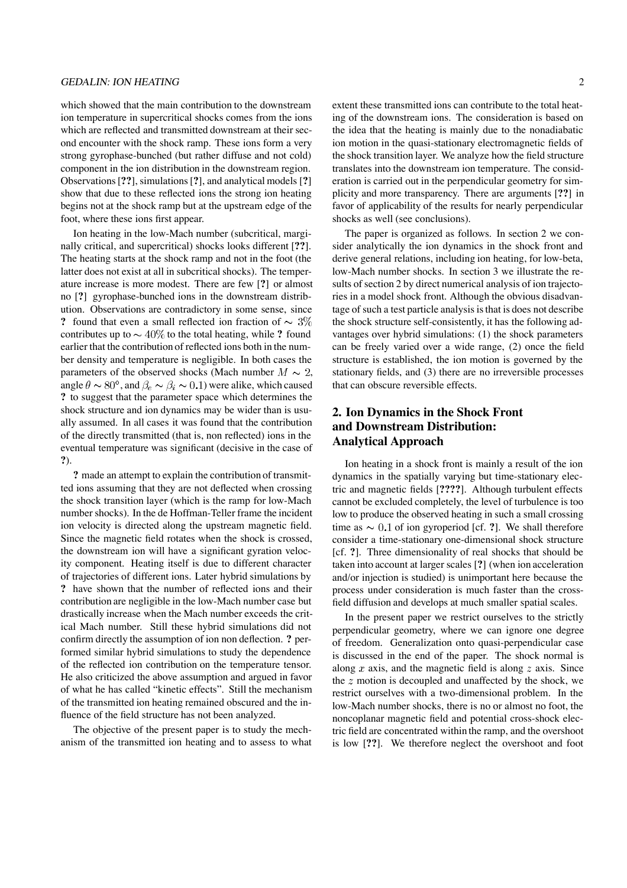#### GEDALIN: ION HEATING 2

which showed that the main contribution to the downstream ion temperature in supercritical shocks comes from the ions which are reflected and transmitted downstream at their second encounter with the shock ramp. These ions form a very strong gyrophase-bunched (but rather diffuse and not cold) component in the ion distribution in the downstream region. Observations[**??**],simulations[**?**], and analytical models [**?**] show that due to these reflected ions the strong ion heating begins not at the shock ramp but at the upstream edge of the foot, where these ions first appear.

Ion heating in the low-Mach number (subcritical, marginally critical, and supercritical) shocks looks different [**??**]. The heating starts at the shock ramp and not in the foot (the latter does not exist at all in subcritical shocks). The temperature increase is more modest. There are few [**?**] or almost no [**?**] gyrophase-bunched ions in the downstream distribution. Observations are contradictory in some sense, since **?** found that even a small reflected ion fraction of  $\sim 3\%$ contributes up to  $\sim$  40% to the total heating, while **?** found earlier that the contribution of reflected ions both in the number density and temperature is negligible. In both cases the parameters of the observed shocks (Mach number  $M \sim 2$ , angle  $\theta \sim 80^{\circ}$ , and  $\beta_e \sim \beta_i \sim 0.1$ ) were alike, which caused **?** to suggest that the parameter space which determines the shock structure and ion dynamics may be wider than is usually assumed. In all cases it was found that the contribution of the directly transmitted (that is, non reflected) ions in the eventual temperature was significant (decisive in the case of **?**).

**?** made an attempt to explain the contribution of transmitted ions assuming that they are not deflected when crossing the shock transition layer (which is the ramp for low-Mach number shocks). In the de Hoffman-Teller frame the incident ion velocity is directed along the upstream magnetic field. Since the magnetic field rotates when the shock is crossed, the downstream ion will have a significant gyration velocity component. Heating itself is due to different character of trajectories of different ions. Later hybrid simulations by **?** have shown that the number of reflected ions and their contribution are negligible in the low-Mach number case but drastically increase when the Mach number exceeds the critical Mach number. Still these hybrid simulations did not confirm directly the assumption of ion non deflection. **?** performed similar hybrid simulations to study the dependence of the reflected ion contribution on the temperature tensor. He also criticized the above assumption and argued in favor of what he has called "kinetic effects". Still the mechanism of the transmitted ion heating remained obscured and the influence of the field structure has not been analyzed.

The objective of the present paper is to study the mechanism of the transmitted ion heating and to assess to what extent these transmitted ions can contribute to the total heating of the downstream ions. The consideration is based on the idea that the heating is mainly due to the nonadiabatic ion motion in the quasi-stationary electromagnetic fields of the shock transition layer. We analyze how the field structure translates into the downstream ion temperature. The consideration is carried out in the perpendicular geometry for simplicity and more transparency. There are arguments [**??**] in favor of applicability of the results for nearly perpendicular shocks as well (see conclusions).

The paper is organized as follows. In section 2 we consider analytically the ion dynamics in the shock front and derive general relations, including ion heating, for low-beta, low-Mach number shocks. In section 3 we illustrate the results of section 2 by direct numerical analysis of ion trajectories in a model shock front. Although the obvious disadvantage of such a test particle analysis is that is does not describe the shock structure self-consistently, it has the following advantages over hybrid simulations: (1) the shock parameters can be freely varied over a wide range, (2) once the field structure is established, the ion motion is governed by the stationary fields, and (3) there are no irreversible processes that can obscure reversible effects.

# **2. Ion Dynamics in the Shock Front and Downstream Distribution: Analytical Approach**

Ion heating in a shock front is mainly a result of the ion dynamics in the spatially varying but time-stationary electric and magnetic fields [**????**]. Although turbulent effects cannot be excluded completely, the level of turbulence is too low to produce the observed heating in such a small crossing time as  $\sim 0.1$  of ion gyroperiod [cf. **?**]. We shall therefore consider a time-stationary one-dimensional shock structure [cf. **?**]. Three dimensionality of real shocks that should be taken into account at larger scales [**?**] (when ion acceleration and/or injection is studied) is unimportant here because the process under consideration is much faster than the crossfield diffusion and develops at much smaller spatial scales.

In the present paper we restrict ourselves to the strictly perpendicular geometry, where we can ignore one degree of freedom. Generalization onto quasi-perpendicular case is discussed in the end of the paper. The shock normal is along  $x$  axis, and the magnetic field is along  $z$  axis. Since the  $z$  motion is decoupled and unaffected by the shock, we restrict ourselves with a two-dimensional problem. In the low-Mach number shocks, there is no or almost no foot, the noncoplanar magnetic field and potential cross-shock electric field are concentrated within the ramp, and the overshoot is low [**??**]. We therefore neglect the overshoot and foot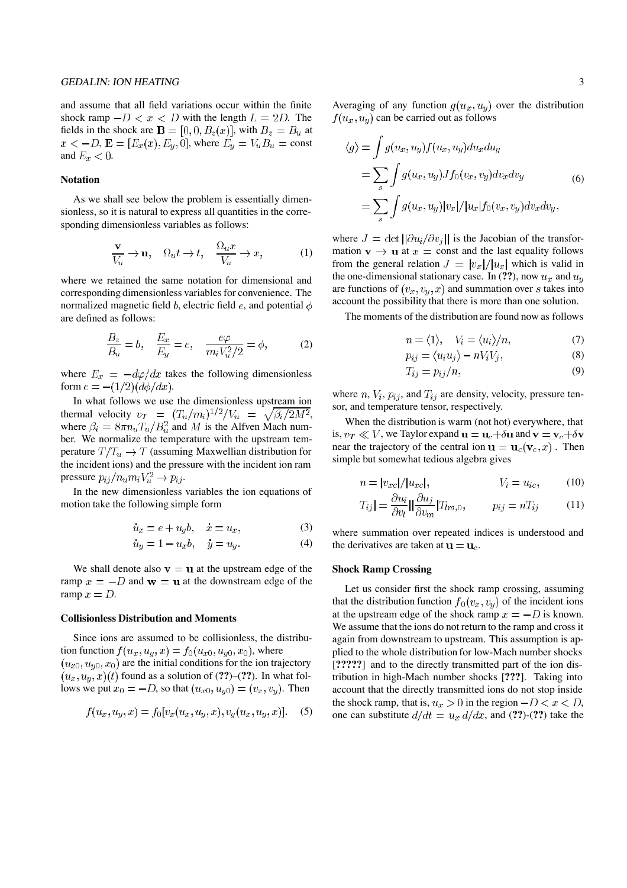#### GEDALIN: ION HEATING 3

and assume that all field variations occur within the finite shock ramp  $-D < x < D$  with the length  $L = 2D$ . The fields in the shock are  $\mathbf{B} = [0, 0, B_z(x)]$ , with  $B_z = B_u$  at  $x < -D$ ,  $\mathbf{E} = [E_x(x), E_y, 0]$ , where  $E_y = V_u B_u = \text{const}$ and  $E_x < 0$ .

#### **Notation**

As we shall see below the problem is essentially dimensionless, so it is natural to express all quantities in the corresponding dimensionless variables as follows:

$$
\frac{\mathbf{v}}{V_u} \to \mathbf{u}, \quad \Omega_u t \to t, \quad \frac{\Omega_u x}{V_u} \to x,\tag{1}
$$

where we retained the same notation for dimensional and corresponding dimensionless variables for convenience. The normalized magnetic field  $b$ , electric field  $e$ , and potential  $\phi$ are defined as follows:

$$
\frac{B_z}{B_u} = b, \quad \frac{E_x}{E_y} = e, \quad \frac{e\varphi}{m_i V_u^2/2} = \phi,
$$
 (2)

where  $E_x = -d\varphi/dx$  takes the following dimensionless form  $e = -(1/2)(d\phi/dx)$ .

In what follows we use the dimensionless upstream ion thermal velocity  $v_T = (T_u/m_i)^{1/2}/V_u = \sqrt{\beta_i/2M^2}$ , where  $\beta_i = 8\pi n_u T_u / B_u^2$  and M is the Alfven Mach number. We normalize the temperature with the upstream temperature  $T/T_u \rightarrow T$  (assuming Maxwellian distribution for the incident ions) and the pressure with the incident ion ram pressure  $p_{ij}/n_u m_i V_u^2 \rightarrow p_{ij}$ .

In the new dimensionless variables the ion equations of motion take the following simple form

$$
u_x = e + u_y b, \quad x = u_x,\tag{3}
$$

$$
u_y = 1 - u_x b, \quad y = u_y.
$$
 (4)

We shall denote also  $v = u$  at the upstream edge of the ramp  $x = -D$  and  $w = u$  at the downstream edge of the ramp  $x = D$ .

#### **Collisionless Distribution and Moments**

Since ions are assumed to be collisionless, the distribution function  $f(u_x, u_y, x) = f_0(u_{x0}, u_{y0}, x_0)$ , where  $(u_{x0}, u_{y0}, x_0)$  are the initial conditions for the ion trajectory  $(u_x, u_y, x)(t)$  found as a solution of (??)–(??). In what follows we put  $x_0 = -D$ , so that  $(u_{x0}, u_{y0}) = (v_x, v_y)$ . Then

$$
f(u_x, u_y, x) = f_0[v_x(u_x, u_y, x), v_y(u_x, u_y, x)].
$$
 (5)

Averaging of any function  $g(u_x, u_y)$  over the distribution  $f(u_x, u_y)$  can be carried out as follows

$$
\langle g \rangle = \int g(u_x, u_y) f(u_x, u_y) du_x du_y
$$
  
= 
$$
\sum_s \int g(u_x, u_y) J f_0(v_x, v_y) dv_x dv_y
$$
  
= 
$$
\sum_s \int g(u_x, u_y) |v_x| / |u_x| f_0(v_x, v_y) dv_x dv_y,
$$
 (6)

where  $J = \det \left[ \frac{\partial u_i}{\partial v_j} \right]$  is the Jacobian of the transformation  $\mathbf{v} \to \mathbf{u}$  at  $x = \text{const}$  and the last equality follows from the general relation  $J = |v_x|/|u_x|$  which is valid in the one-dimensional stationary case. In (??), now  $u_x$  and  $u_y$ are functions of  $(v_x, v_y, x)$  and summation over s takes into account the possibility that there is more than one solution.

The moments of the distribution are found now as follows

$$
n = \langle 1 \rangle, \quad V_i = \langle u_i \rangle / n,\tag{7}
$$

$$
p_{ij} = \langle u_i u_j \rangle - n V_i V_j, \tag{8}
$$

$$
T_{ij} = p_{ij}/n,\t\t(9)
$$

where n,  $V_i$ ,  $p_{ij}$ , and  $T_{ij}$  are density, velocity, pressure tensor, and temperature tensor, respectively.

When the distribution is warm (not hot) everywhere, that is,  $v_T \ll V$ , we Taylor expand  $\mathbf{u} = \mathbf{u}_c + \delta \mathbf{u}$  and  $\mathbf{v} = \mathbf{v}_c + \delta \mathbf{v}$ near the trajectory of the central ion  $\mathbf{u} = \mathbf{u}_c(\mathbf{v}_c, x)$ . Then simple but somewhat tedious algebra gives

$$
n = |v_{xc}|/|u_{xc}|, \qquad V_i = u_{ic}, \qquad (10)
$$

$$
T_{ij}| = \frac{\partial u_i}{\partial v_l} ||\frac{\partial u_j}{\partial v_m} | T_{lm,0}, \qquad p_{ij} = n T_{ij} \qquad (11)
$$

where summation over repeated indices is understood and the derivatives are taken at  $\mathbf{u} = \mathbf{u}_c$ .

#### **Shock Ramp Crossing**

Let us consider first the shock ramp crossing, assuming that the distribution function  $f_0(v_x, v_y)$  of the incident ions at the upstream edge of the shock ramp  $x = -D$  is known. We assume that the ions do not return to the ramp and cross it again from downstream to upstream. This assumption is applied to the whole distribution for low-Mach number shocks [**?????**] and to the directly transmitted part of the ion distribution in high-Mach number shocks [**???**]. Taking into account that the directly transmitted ions do not stop inside the shock ramp, that is,  $u_x > 0$  in the region  $-D < x < D$ , one can substitute  $d/dt = u_x d/dx$ , and (??)-(??) take the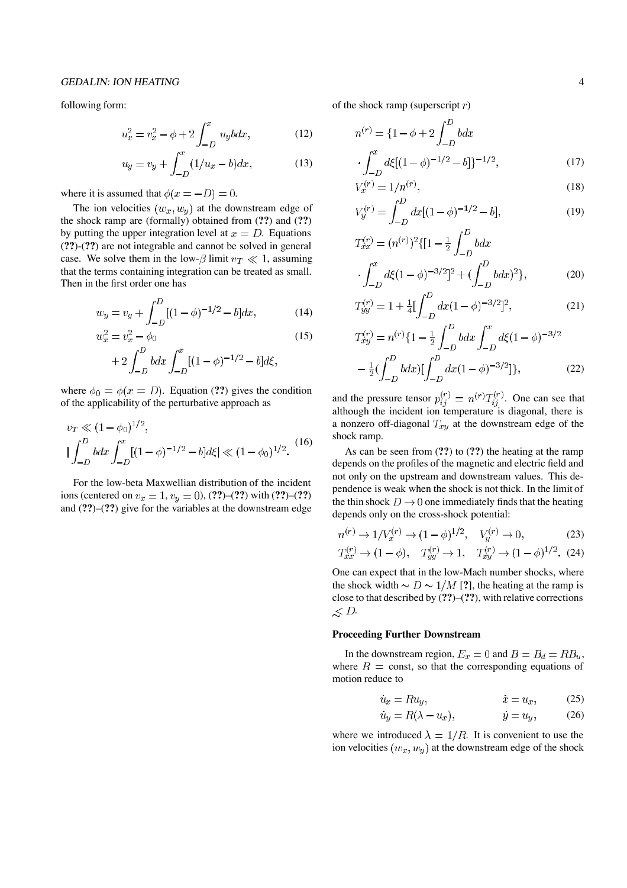#### GEDALIN: ION HEATING 4

following form:

$$
u_x^2 = v_x^2 - \phi + 2 \int_{-D}^{x} u_y b dx, \qquad (12)
$$

$$
u_y = v_y + \int_{-D}^{x} (1/u_x - b) dx, \tag{13}
$$

where it is assumed that  $\phi(x = -D) = 0$ .

The ion velocities  $(w_x, w_y)$  at the downstream edge of the shock ramp are (formally) obtained from (**??**) and (**??**) by putting the upper integration level at  $x = D$ . Equations (**??**)-(**??**) are not integrable and cannot be solved in general case. We solve them in the low- $\beta$  limit  $v_T \ll 1$ , assuming that the terms containing integration can be treated as small. Then in the first order one has

$$
w_y = v_y + \int_{-D}^{D} [(1 - \phi)^{-1/2} - b] dx, \tag{14}
$$

$$
w_x^2 = v_x^2 - \phi_0 \tag{15}
$$
\n
$$
\int P \qquad f^x \qquad (15)
$$

$$
+2\int_{-D}^{D} bdx \int_{-D}^{x} [(1-\phi)^{-1/2} - b]d\xi,
$$

where  $\phi_0 = \phi(x = D)$ . Equation (??) gives the condition of the applicability of the perturbative approach as

$$
v_T \ll (1 - \phi_0)^{1/2},
$$
  

$$
\left| \int_{-D}^{D} b dx \int_{-D}^{x} [(1 - \phi)^{-1/2} - b] d\xi \right| \ll (1 - \phi_0)^{1/2}.
$$
 (16)

For the low-beta Maxwellian distribution of the incident ions (centered on  $v_x = 1$ ,  $v_y = 0$ ), (??)–(??) with (??)–(??) and (**??**)–(**??**) give for the variables at the downstream edge of the shock ramp (superscript  $r$ )

$$
n^{(r)} = \{1 - \phi + 2 \int_{-D}^{D} b dx
$$

$$
\cdot \int_{-D}^{x} d\xi [(1 - \phi)^{-1/2} - b]]^{-1/2}, \tag{17}
$$

$$
V_x^{(r)} = 1/n^{(r)},\tag{18}
$$

$$
V_y^{(r)} = \int_{-D}^{D} dx [(1 - \phi)^{-1/2} - b], \tag{19}
$$

$$
T_{xx}^{(r)} = (n^{(r)})^2 \{ [1 - \frac{1}{2} \int_{-D}^{D} b dx
$$

$$
\cdot \int_{-D}^{x} d\xi (1 - \phi)^{-3/2} \}^2 + (\int_{-D}^{D} b dx)^2 \}, \tag{20}
$$

$$
T_{yy}^{(r)} = 1 + \frac{1}{4} \left[ \int_{-D}^{D} dx (1 - \phi)^{-3/2} \right]^2, \tag{21}
$$

$$
T_{xy}^{(r)} = n^{(r)} \{1 - \frac{1}{2} \int_{-D}^{D} b dx \int_{-D}^{x} d\xi (1 - \phi)^{-3/2} - \frac{1}{2} (\int_{-D}^{D} b dx) [\int_{-D}^{D} dx (1 - \phi)^{-3/2}]\},
$$
 (22)

and the pressure tensor  $p_{ij}^{(r)} = n^{(r)} T_{ij}^{(r)}$ . One can see that although the incident ion temperature is diagonal, there is a nonzero off-diagonal  $T_{xy}$  at the downstream edge of the shock ramp.

As can be seen from (**??**) to (**??**) the heating at the ramp depends on the profiles of the magnetic and electric field and not only on the upstream and downstream values. This dependence is weak when the shock is not thick. In the limit of the thin shock  $D \rightarrow 0$  one immediately finds that the heating depends only on the cross-shock potential:

$$
n^{(r)} \to 1/V_x^{(r)} \to (1 - \phi)^{1/2}, \quad V_y^{(r)} \to 0,
$$
 (23)

$$
T_{xx}^{(r)} \to (1 - \phi), \quad T_{yy}^{(r)} \to 1, \quad T_{xy}^{(r)} \to (1 - \phi)^{1/2}. \tag{24}
$$
  
One can expect that in the low-Mach number shocks, where

the shock width  $\sim D \sim 1/M$  [?], the heating at the ramp is close to that described by (**??**)–(**??**), with relative corrections  $\measuredangle D$ .

#### **Proceeding Further Downstream**

In the downstream region,  $E_x = 0$  and  $B = B_d = RB_u$ , where  $R = \text{const}$ , so that the corresponding equations of motion reduce to

$$
u_x = Ru_y, \t x = u_x, \t (25)
$$

$$
u_y = R(\lambda - u_x), \qquad y = u_y, \qquad (26)
$$

where we introduced  $\lambda = 1/R$ . It is convenient to use the ion velocities  $(w_x, w_y)$  at the downstream edge of the shock